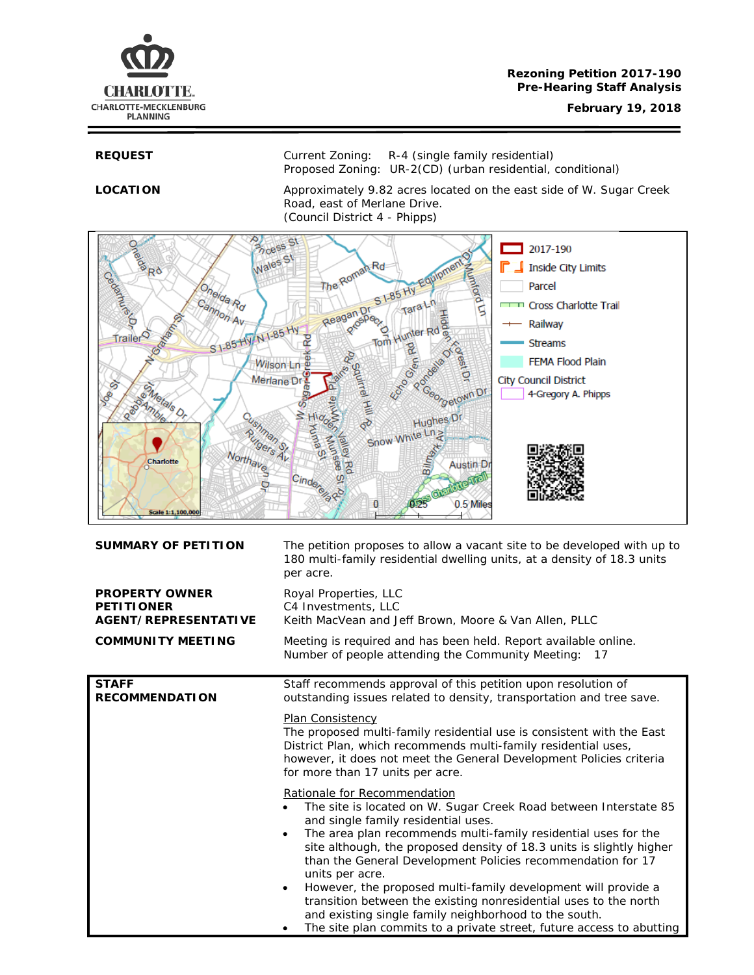

**REQUEST** Current Zoning: R-4 (single family residential) Proposed Zoning: UR-2(CD) (urban residential, conditional)

LOCATION Approximately 9.82 acres located on the east side of W. Sugar Creek Road, east of Merlane Drive. (Council District 4 - Phipps)



| <b>SUMMARY OF PETITION</b>                                                | The petition proposes to allow a vacant site to be developed with up to<br>180 multi-family residential dwelling units, at a density of 18.3 units<br>per acre.                                                                                                                                                                                                                                                                                                                                                                                                                                                                                                                  |  |
|---------------------------------------------------------------------------|----------------------------------------------------------------------------------------------------------------------------------------------------------------------------------------------------------------------------------------------------------------------------------------------------------------------------------------------------------------------------------------------------------------------------------------------------------------------------------------------------------------------------------------------------------------------------------------------------------------------------------------------------------------------------------|--|
| <b>PROPERTY OWNER</b><br><b>PETITIONER</b><br><b>AGENT/REPRESENTATIVE</b> | Royal Properties, LLC<br>C4 Investments, LLC<br>Keith MacVean and Jeff Brown, Moore & Van Allen, PLLC                                                                                                                                                                                                                                                                                                                                                                                                                                                                                                                                                                            |  |
| <b>COMMUNITY MEETING</b>                                                  | Meeting is required and has been held. Report available online.<br>Number of people attending the Community Meeting:<br>17                                                                                                                                                                                                                                                                                                                                                                                                                                                                                                                                                       |  |
| <b>STAFF</b><br><b>RECOMMENDATION</b>                                     | Staff recommends approval of this petition upon resolution of<br>outstanding issues related to density, transportation and tree save.                                                                                                                                                                                                                                                                                                                                                                                                                                                                                                                                            |  |
|                                                                           | Plan Consistency<br>The proposed multi-family residential use is consistent with the East<br>District Plan, which recommends multi-family residential uses,<br>however, it does not meet the General Development Policies criteria<br>for more than 17 units per acre.                                                                                                                                                                                                                                                                                                                                                                                                           |  |
|                                                                           | Rationale for Recommendation<br>The site is located on W. Sugar Creek Road between Interstate 85<br>and single family residential uses.<br>The area plan recommends multi-family residential uses for the<br>$\bullet$<br>site although, the proposed density of 18.3 units is slightly higher<br>than the General Development Policies recommendation for 17<br>units per acre.<br>However, the proposed multi-family development will provide a<br>$\bullet$<br>transition between the existing nonresidential uses to the north<br>and existing single family neighborhood to the south.<br>The site plan commits to a private street, future access to abutting<br>$\bullet$ |  |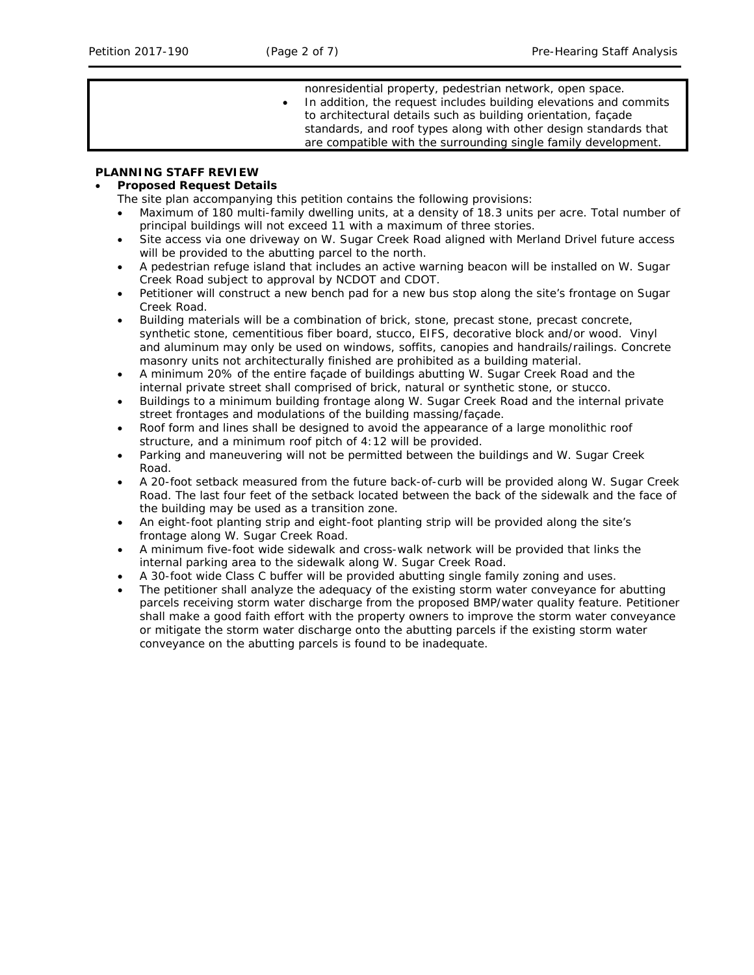nonresidential property, pedestrian network, open space. In addition, the request includes building elevations and commits to architectural details such as building orientation, façade standards, and roof types along with other design standards that are compatible with the surrounding single family development.

## **PLANNING STAFF REVIEW**

## • **Proposed Request Details**

The site plan accompanying this petition contains the following provisions:

- Maximum of 180 multi-family dwelling units, at a density of 18.3 units per acre. Total number of principal buildings will not exceed 11 with a maximum of three stories.
- Site access via one driveway on W. Sugar Creek Road aligned with Merland Drivel future access will be provided to the abutting parcel to the north.
- A pedestrian refuge island that includes an active warning beacon will be installed on W. Sugar Creek Road subject to approval by NCDOT and CDOT.
- Petitioner will construct a new bench pad for a new bus stop along the site's frontage on Sugar Creek Road.
- Building materials will be a combination of brick, stone, precast stone, precast concrete, synthetic stone, cementitious fiber board, stucco, EIFS, decorative block and/or wood. Vinyl and aluminum may only be used on windows, soffits, canopies and handrails/railings. Concrete masonry units not architecturally finished are prohibited as a building material.
- A minimum 20% of the entire façade of buildings abutting W. Sugar Creek Road and the internal private street shall comprised of brick, natural or synthetic stone, or stucco.
- Buildings to a minimum building frontage along W. Sugar Creek Road and the internal private street frontages and modulations of the building massing/façade.
- Roof form and lines shall be designed to avoid the appearance of a large monolithic roof structure, and a minimum roof pitch of 4:12 will be provided.
- Parking and maneuvering will not be permitted between the buildings and W. Sugar Creek Road.
- A 20-foot setback measured from the future back-of-curb will be provided along W. Sugar Creek Road. The last four feet of the setback located between the back of the sidewalk and the face of the building may be used as a transition zone.
- An eight-foot planting strip and eight-foot planting strip will be provided along the site's frontage along W. Sugar Creek Road.
- A minimum five-foot wide sidewalk and cross-walk network will be provided that links the internal parking area to the sidewalk along W. Sugar Creek Road.
- A 30-foot wide Class C buffer will be provided abutting single family zoning and uses.
- The petitioner shall analyze the adequacy of the existing storm water conveyance for abutting parcels receiving storm water discharge from the proposed BMP/water quality feature. Petitioner shall make a good faith effort with the property owners to improve the storm water conveyance or mitigate the storm water discharge onto the abutting parcels if the existing storm water conveyance on the abutting parcels is found to be inadequate.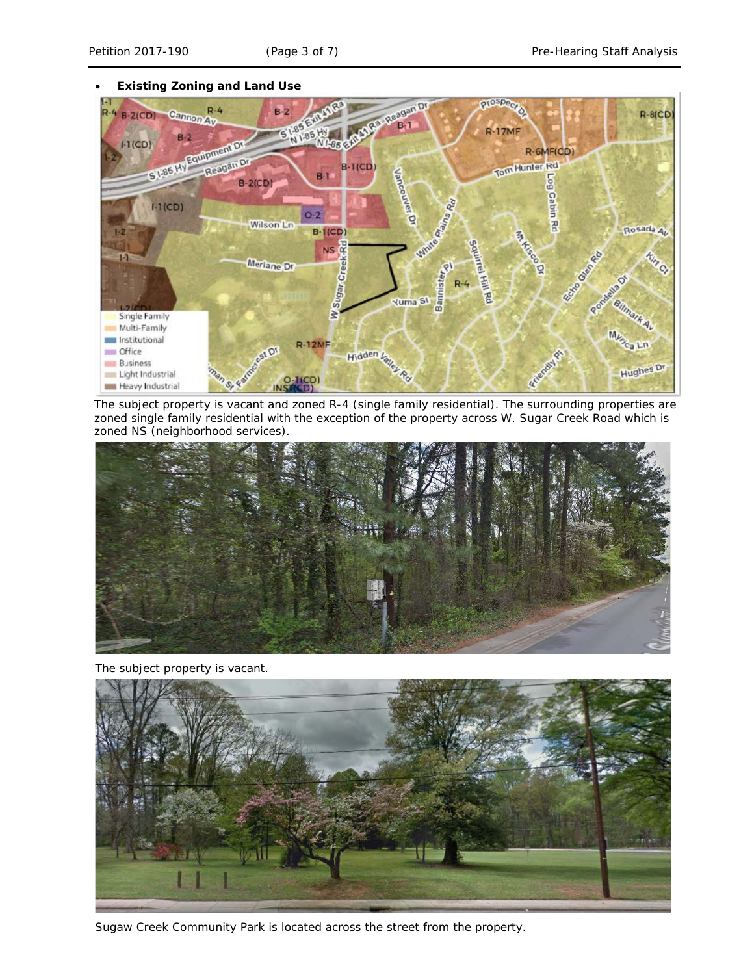#### • **Existing Zoning and Land Use**



The subject property is vacant and zoned R-4 (single family residential). The surrounding properties are zoned single family residential with the exception of the property across W. Sugar Creek Road which is zoned NS (neighborhood services).



The subject property is vacant.



Sugaw Creek Community Park is located across the street from the property.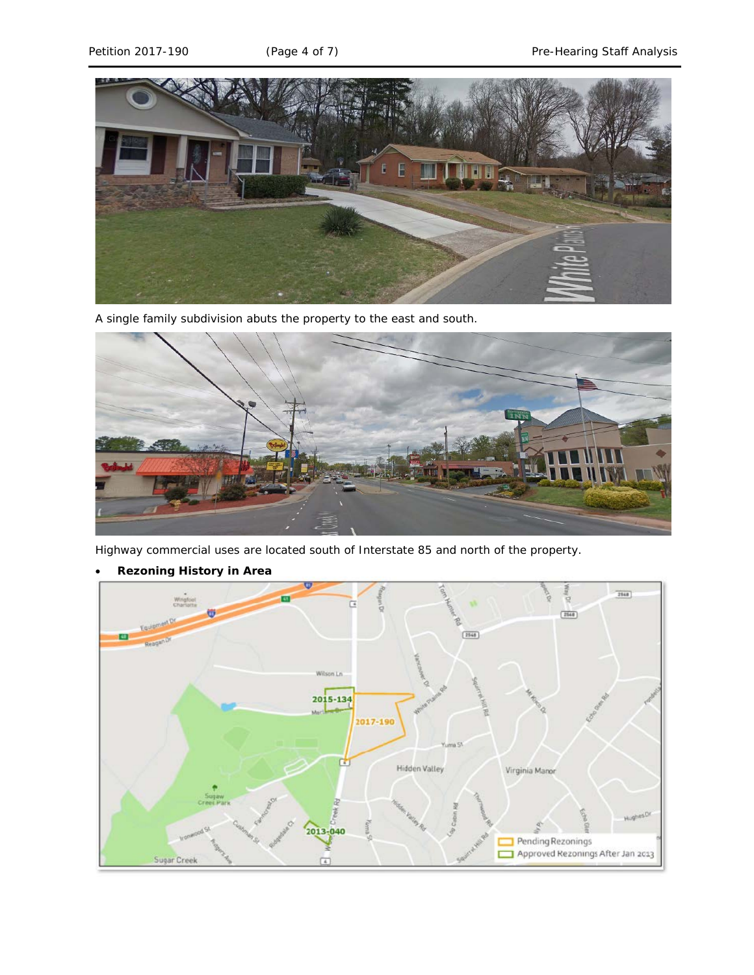

A single family subdivision abuts the property to the east and south.

![](_page_3_Picture_5.jpeg)

Highway commercial uses are located south of Interstate 85 and north of the property.

![](_page_3_Figure_7.jpeg)

• **Rezoning History in Area**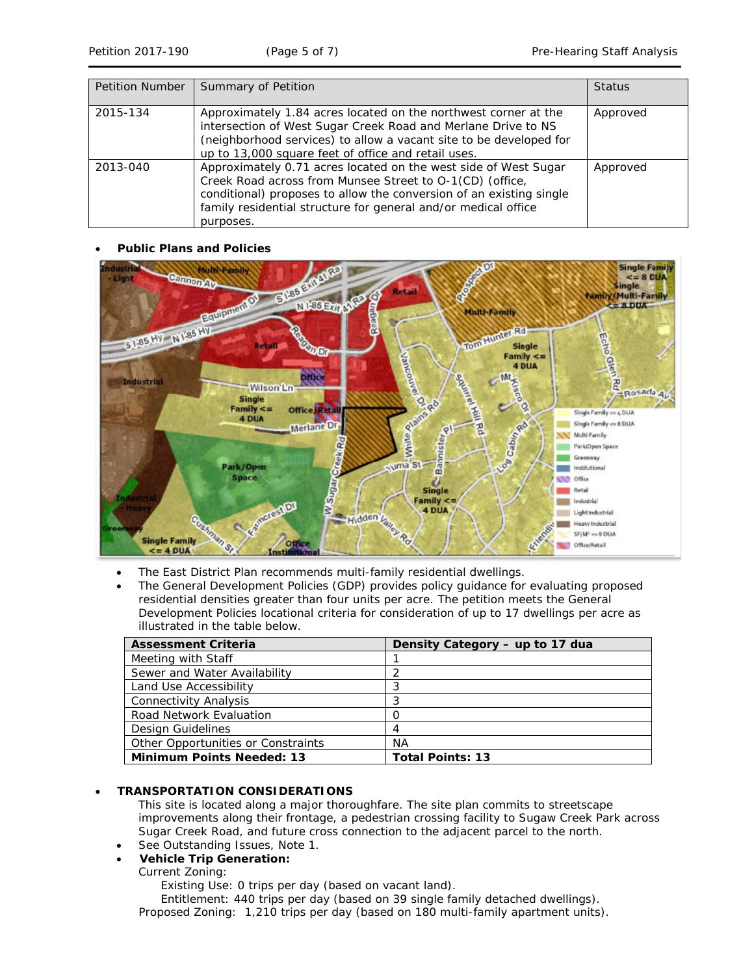| <b>Petition Number</b> | Summary of Petition                                                                                                                                                                                                                                                               | <b>Status</b> |
|------------------------|-----------------------------------------------------------------------------------------------------------------------------------------------------------------------------------------------------------------------------------------------------------------------------------|---------------|
| 2015-134               | Approximately 1.84 acres located on the northwest corner at the<br>intersection of West Sugar Creek Road and Merlane Drive to NS<br>(neighborhood services) to allow a vacant site to be developed for<br>up to 13,000 square feet of office and retail uses.                     | Approved      |
| 2013-040               | Approximately 0.71 acres located on the west side of West Sugar<br>Creek Road across from Munsee Street to O-1(CD) (office,<br>conditional) proposes to allow the conversion of an existing single<br>family residential structure for general and/or medical office<br>purposes. | Approved      |

### • **Public Plans and Policies**

![](_page_4_Figure_5.jpeg)

- The *East District Plan* recommends multi-family residential dwellings.
- The *General Development Policies* (GDP) provides policy guidance for evaluating proposed residential densities greater than four units per acre. The petition meets the *General Development Policies* locational criteria for consideration of up to 17 dwellings per acre as illustrated in the table below.

| <b>Assessment Criteria</b>         | Density Category - up to 17 dua |
|------------------------------------|---------------------------------|
| Meeting with Staff                 |                                 |
| Sewer and Water Availability       |                                 |
| Land Use Accessibility             | 3                               |
| <b>Connectivity Analysis</b>       | 3                               |
| Road Network Evaluation            |                                 |
| Design Guidelines                  | 4                               |
| Other Opportunities or Constraints | ΝA                              |
| <b>Minimum Points Needed: 13</b>   | <b>Total Points: 13</b>         |

### • **TRANSPORTATION CONSIDERATIONS**

This site is located along a major thoroughfare. The site plan commits to streetscape improvements along their frontage, a pedestrian crossing facility to Sugaw Creek Park across Sugar Creek Road, and future cross connection to the adjacent parcel to the north.

See Outstanding Issues, Note 1.

# • **Vehicle Trip Generation:**

# Current Zoning:

Existing Use: 0 trips per day (based on vacant land).

Entitlement: 440 trips per day (based on 39 single family detached dwellings). Proposed Zoning: 1,210 trips per day (based on 180 multi-family apartment units).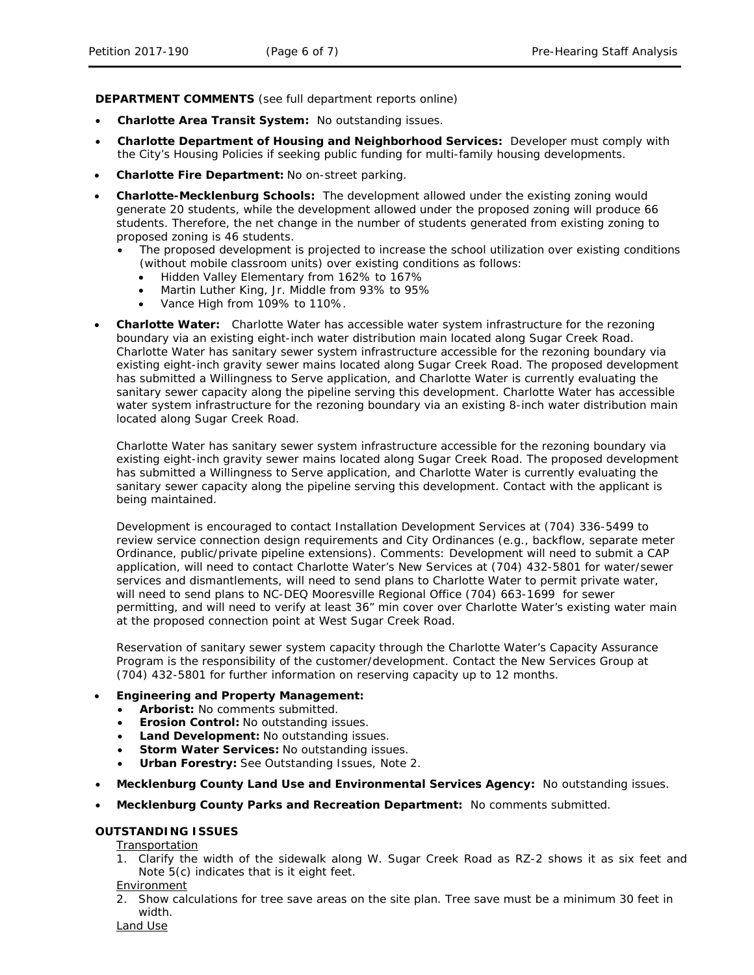**DEPARTMENT COMMENTS** (see full department reports online)

- **Charlotte Area Transit System:** No outstanding issues.
- **Charlotte Department of Housing and Neighborhood Services:** Developer must comply with the City's Housing Policies if seeking public funding for multi-family housing developments.
- **Charlotte Fire Department:** No on-street parking.
- **Charlotte-Mecklenburg Schools:** The development allowed under the existing zoning would generate 20 students, while the development allowed under the proposed zoning will produce 66 students. Therefore, the net change in the number of students generated from existing zoning to proposed zoning is 46 students.
	- The proposed development is projected to increase the school utilization over existing conditions (without mobile classroom units) over existing conditions as follows:
		- Hidden Valley Elementary from 162% to 167%
		- Martin Luther King, Jr. Middle from 93% to 95%
		- Vance High from 109% to 110%.
- **Charlotte Water:** Charlotte Water has accessible water system infrastructure for the rezoning boundary via an existing eight-inch water distribution main located along Sugar Creek Road. Charlotte Water has sanitary sewer system infrastructure accessible for the rezoning boundary via existing eight-inch gravity sewer mains located along Sugar Creek Road. The proposed development has submitted a Willingness to Serve application, and Charlotte Water is currently evaluating the sanitary sewer capacity along the pipeline serving this development. Charlotte Water has accessible water system infrastructure for the rezoning boundary via an existing 8-inch water distribution main located along Sugar Creek Road.

Charlotte Water has sanitary sewer system infrastructure accessible for the rezoning boundary via existing eight-inch gravity sewer mains located along Sugar Creek Road. The proposed development has submitted a Willingness to Serve application, and Charlotte Water is currently evaluating the sanitary sewer capacity along the pipeline serving this development. Contact with the applicant is being maintained.

Development is encouraged to contact Installation Development Services at (704) 336-5499 to review service connection design requirements and City Ordinances (e.g., backflow, separate meter Ordinance, public/private pipeline extensions). Comments: Development will need to submit a CAP application, will need to contact Charlotte Water's New Services at (704) 432-5801 for water/sewer services and dismantlements, will need to send plans to Charlotte Water to permit private water, will need to send plans to NC-DEQ Mooresville Regional Office (704) 663-1699 for sewer permitting, and will need to verify at least 36" min cover over Charlotte Water's existing water main at the proposed connection point at West Sugar Creek Road.

Reservation of sanitary sewer system capacity through the Charlotte Water's Capacity Assurance Program is the responsibility of the customer/development. Contact the New Services Group at (704) 432-5801 for further information on reserving capacity up to 12 months.

### • **Engineering and Property Management:**

- **Arborist:** No comments submitted.
- **Erosion Control:** No outstanding issues.
- **Land Development:** No outstanding issues.
- **Storm Water Services:** No outstanding issues.
- **Urban Forestry:** See Outstanding Issues, Note 2.
- **Mecklenburg County Land Use and Environmental Services Agency:** No outstanding issues.
- **Mecklenburg County Parks and Recreation Department:** No comments submitted.

# **OUTSTANDING ISSUES**

Transportation

1. Clarify the width of the sidewalk along W. Sugar Creek Road as RZ-2 shows it as six feet and Note 5(c) indicates that is it eight feet.

**Environment** 

2. Show calculations for tree save areas on the site plan. Tree save must be a minimum 30 feet in width.

Land Use